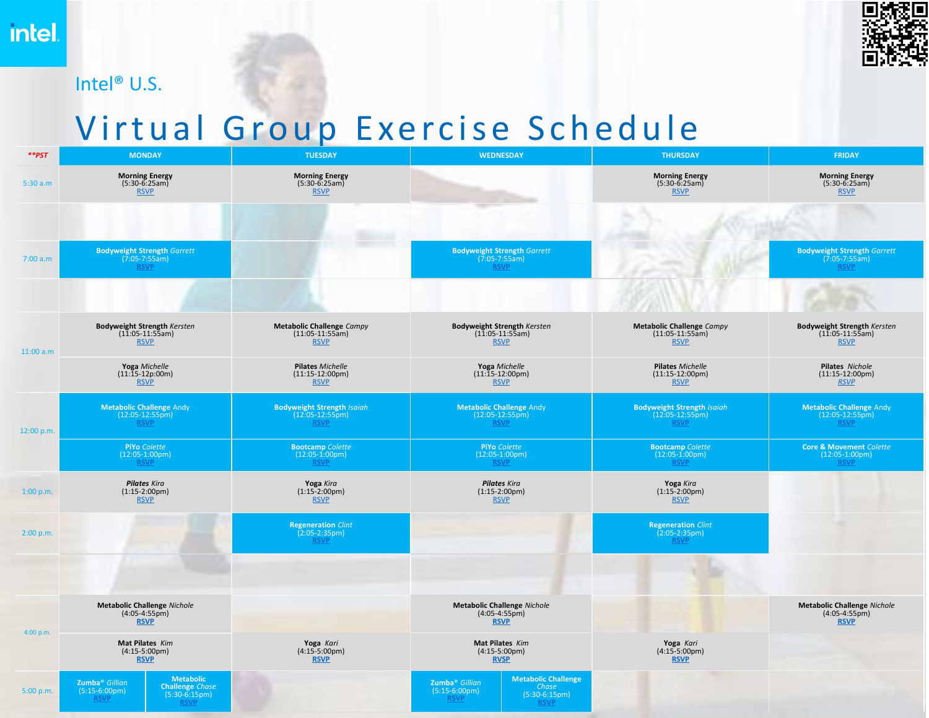## Intel® U.S.



## Virtual Group Exercise Schedule

| $*$ <i>*</i> | <b>MONDAY</b>                                                                                                                                | <b>TUESDAY</b>                                                        | <b>WEDNESDAY</b>                                                                                                                              | <b>THURSDAY</b>                                                       | <b>FRIDAY</b>                                                                     |
|--------------|----------------------------------------------------------------------------------------------------------------------------------------------|-----------------------------------------------------------------------|-----------------------------------------------------------------------------------------------------------------------------------------------|-----------------------------------------------------------------------|-----------------------------------------------------------------------------------|
| 5:30 a.m     | <b>Morning Energy</b><br>$(5:30-6:25am)$<br><b>RSVP</b>                                                                                      | <b>Morning Energy</b><br>$(5:30-6:25am)$<br><b>RSVP</b>               |                                                                                                                                               | <b>Morning Energy</b><br>$(5:30-6:25am)$<br><b>RSVP</b>               | <b>Morning Energy</b><br>$(5:30-6:25am)$<br><b>RSVP</b>                           |
|              |                                                                                                                                              |                                                                       |                                                                                                                                               |                                                                       |                                                                                   |
| 7:00 a.m     | <b>Bodyweight Strength Garrett</b><br>$(7.05 - 7.55)$ am)                                                                                    |                                                                       | <b>Bodyweight Strength Garrett</b><br>$(7.05 - 7.55)$ am)                                                                                     |                                                                       | <b>Bodyweight Strength Garrett</b><br>$(7.05-7.55am)$                             |
|              |                                                                                                                                              |                                                                       |                                                                                                                                               |                                                                       |                                                                                   |
| 11:00 a.m    | <b>Bodyweight Strength Kersten</b><br>$(1\overline{1}:05-11:5\overline{5}am)$<br><b>RSVP</b>                                                 | <b>Metabolic Challenge Campy</b><br>$(11:05-11:55am)$<br><b>RSVP</b>  | <b>Bodyweight Strength Kersten</b><br>$(1\overline{1}:05-11:5\overline{5}am)$<br><b>RSVP</b>                                                  | <b>Metabolic Challenge Campy</b><br>$(11:05-11:55am)$<br><b>RSVP</b>  | <b>Bodyweight Strength Kersten</b><br>$(1\overline{1:05-11:55am})$<br><b>RSVP</b> |
|              | Yoga Michelle<br>$(11:15-12p:00m)$<br><b>RSVP</b>                                                                                            | Pilates Michelle<br>$(11:15-12:00pm)$<br><b>RSVP</b>                  | Yoga Michelle<br>$(11:15-12:00pm)$<br><b>RSVP</b>                                                                                             | <b>Pilates Michelle</b><br>$(11:15-12:00pm)$<br><b>RSVP</b>           | Pilates Nichole<br>$(11:15-12:00pm)$<br><b>RSVP</b>                               |
| 12:00 p.m.   | <b>Metabolic Challenge Andy</b><br>$(12:05-12:55pm)$<br><b>RSVP</b>                                                                          | <b>Bodyweight Strength Isaiah</b><br>$(12:05-12:55pm)$<br><b>RSVP</b> | <b>Metabolic Challenge Andy</b><br>$(12:05-12:55pm)$<br><b>RSVP</b>                                                                           | <b>Bodyweight Strength Isaiah</b><br>$(12:05-12:55pm)$<br><b>RSVP</b> | <b>Metabolic Challenge Andy</b><br>$(12:05-12:55pm)$<br><b>RSVP</b>               |
|              | <b>PiYo Colette</b><br>$(12:05-1:00 \text{pm})$<br><b>RSVP</b>                                                                               | <b>Bootcamp</b> Colette<br>$(12:05-1:00 \text{pm})$<br><b>RSVP</b>    | <b>PiYo Colette</b><br>$(12:05-1:00 \text{pm})$<br><b>RSVP</b>                                                                                | <b>Bootcamp</b> Colette<br>$(12:05-1:00 \text{pm})$<br><b>RSVP</b>    | <b>Core &amp; Movement Colette</b><br>$(12:05-1:00 \text{pm})$<br><b>RSVP</b>     |
| 1:00 p.m.    | <b>Pilates Kira</b><br>$(1:15-2:00 \text{pm})$<br><b>RSVP</b>                                                                                | Yoga Kira<br>$(1:15-2:00pm)$<br><b>RSVP</b>                           | <b>Pilates Kira</b><br>$(1:15-2:00pm)$<br><b>RSVP</b>                                                                                         | Yoga Kira<br>$(1:15-2:00 \text{pm})$<br><b>RSVP</b>                   |                                                                                   |
| 2:00 p.m.    |                                                                                                                                              | <b>Regeneration Clint</b><br>$(2:05-2:35pm)$<br><b>RSVP</b>           |                                                                                                                                               | <b>Regeneration Clint</b><br>$(2:05-2:35pm)$<br><b>RSVP</b>           |                                                                                   |
|              |                                                                                                                                              |                                                                       |                                                                                                                                               |                                                                       |                                                                                   |
|              | <b>Metabolic Challenge Nichole</b><br>$(4:05-4:55pm)$<br><b>RSVP</b>                                                                         |                                                                       | <b>Metabolic Challenge Nichole</b><br>$(4:05-4:55pm)$<br><b>RSVP</b>                                                                          |                                                                       | <b>Metabolic Challenge Nichole</b><br>$(4:05-4:55pm)$<br><b>RSVP</b>              |
| 4:00 p.m.    | Mat Pilates Kim<br>$(4:15-5:00 \text{pm})$<br><b>RSVP</b>                                                                                    | Yoga Kari<br>(4:15-5:00pm)<br><b>RSVP</b>                             | Mat Pilates Kim<br>$(4:15-5:00pm)$<br><b>RVSP</b>                                                                                             | Yoga Kari<br>(4:15-5:00pm)<br><b>RSVP</b>                             |                                                                                   |
| 5:00 p.m.    | <b>Metabolic</b><br>Zumba <sup>®</sup> Gillian<br><b>Challenge</b> Chase<br>$(5:15-6:00pm)$<br>$(5:30-6:15pm)$<br><b>RSVP</b><br><b>RSVP</b> |                                                                       | <b>Metabolic Challenge</b><br>Zumba <sup>®</sup> Gillian<br>Chase<br>$(5:15-6:00 \text{pm})$<br>$(5:30-6:15pm)$<br><b>RSVP</b><br><b>RSVP</b> |                                                                       |                                                                                   |